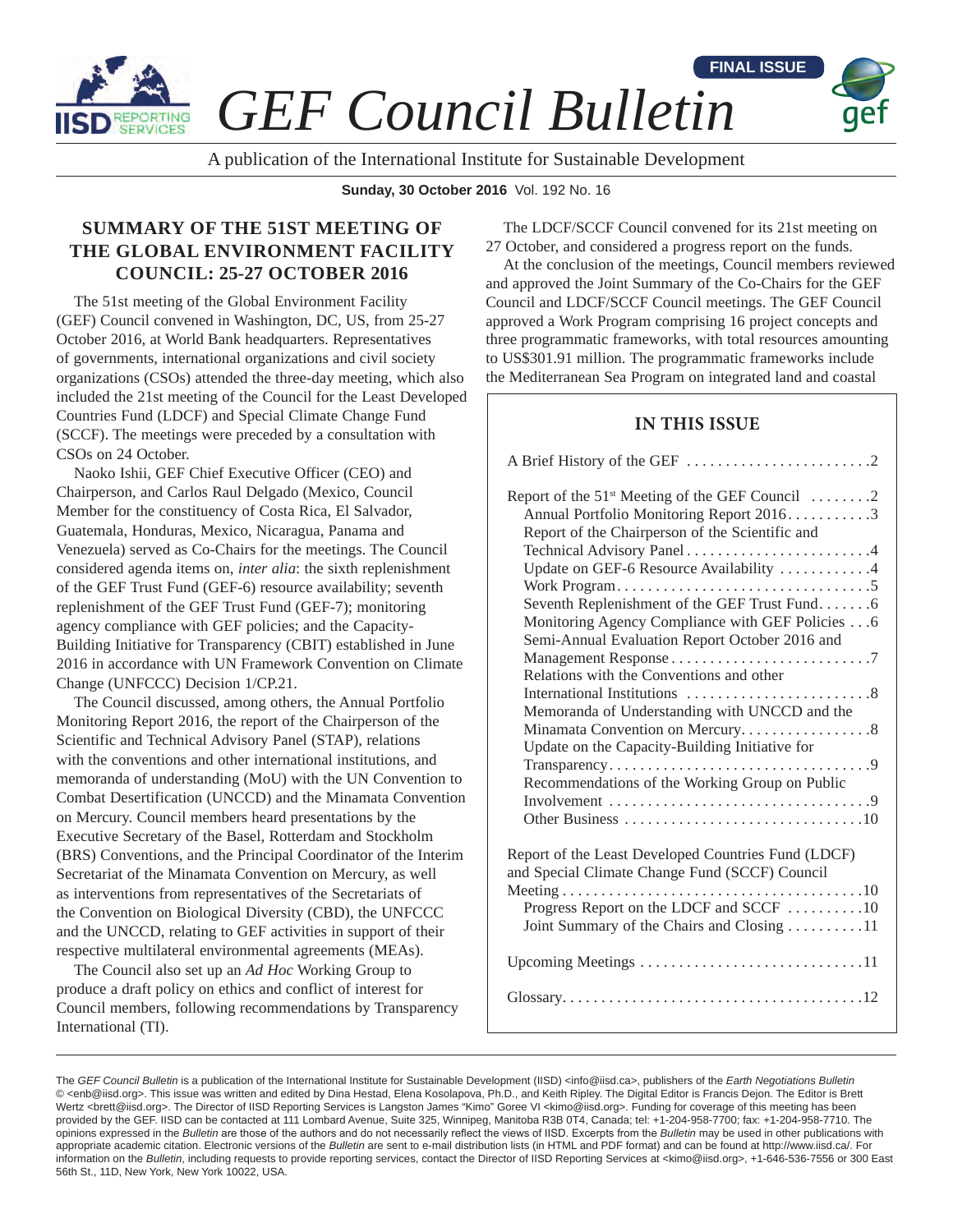

*GEF Council Bulletin*

A publication of the International Institute for Sustainable Development

**Sunday, 30 October 2016** Vol. 192 No. 16

# **SUMMARY OF THE 51ST MEETING OF THE GLOBAL ENVIRONMENT FACILITY COUNCIL: 25-27 OCTOBER 2016**

The 51st meeting of the Global Environment Facility (GEF) Council convened in Washington, DC, US, from 25-27 October 2016, at World Bank headquarters. Representatives of governments, international organizations and civil society organizations (CSOs) attended the three-day meeting, which also included the 21st meeting of the Council for the Least Developed Countries Fund (LDCF) and Special Climate Change Fund (SCCF). The meetings were preceded by a consultation with CSOs on 24 October.

Naoko Ishii, GEF Chief Executive Officer (CEO) and Chairperson, and Carlos Raul Delgado (Mexico, Council Member for the constituency of Costa Rica, El Salvador, Guatemala, Honduras, Mexico, Nicaragua, Panama and Venezuela) served as Co-Chairs for the meetings. The Council considered agenda items on, *inter alia*: the sixth replenishment of the GEF Trust Fund (GEF-6) resource availability; seventh replenishment of the GEF Trust Fund (GEF-7); monitoring agency compliance with GEF policies; and the Capacity-Building Initiative for Transparency (CBIT) established in June 2016 in accordance with UN Framework Convention on Climate Change (UNFCCC) Decision 1/CP.21.

The Council discussed, among others, the Annual Portfolio Monitoring Report 2016, the report of the Chairperson of the Scientific and Technical Advisory Panel (STAP), relations with the conventions and other international institutions, and memoranda of understanding (MoU) with the UN Convention to Combat Desertification (UNCCD) and the Minamata Convention on Mercury. Council members heard presentations by the Executive Secretary of the Basel, Rotterdam and Stockholm (BRS) Conventions, and the Principal Coordinator of the Interim Secretariat of the Minamata Convention on Mercury, as well as interventions from representatives of the Secretariats of the Convention on Biological Diversity (CBD), the UNFCCC and the UNCCD, relating to GEF activities in support of their respective multilateral environmental agreements (MEAs).

The Council also set up an *Ad Hoc* Working Group to produce a draft policy on ethics and conflict of interest for Council members, following recommendations by Transparency International (TI).

The LDCF/SCCF Council convened for its 21st meeting on 27 October, and considered a progress report on the funds.

**FINAL ISSUE**

At the conclusion of the meetings, Council members reviewed and approved the Joint Summary of the Co-Chairs for the GEF Council and LDCF/SCCF Council meetings. The GEF Council approved a Work Program comprising 16 project concepts and three programmatic frameworks, with total resources amounting to US\$301.91 million. The programmatic frameworks include the Mediterranean Sea Program on integrated land and coastal

# **IN THIS ISSUE**

| Report of the $51^{st}$ Meeting of the GEF Council $\dots \dots 2$<br>Annual Portfolio Monitoring Report 20163<br>Report of the Chairperson of the Scientific and |
|-------------------------------------------------------------------------------------------------------------------------------------------------------------------|
| Update on GEF-6 Resource Availability 4                                                                                                                           |
| Seventh Replenishment of the GEF Trust Fund6                                                                                                                      |
| Monitoring Agency Compliance with GEF Policies 6<br>Semi-Annual Evaluation Report October 2016 and                                                                |
| Relations with the Conventions and other                                                                                                                          |
| Memoranda of Understanding with UNCCD and the                                                                                                                     |
| Minamata Convention on Mercury8<br>Update on the Capacity-Building Initiative for                                                                                 |
| Recommendations of the Working Group on Public                                                                                                                    |
|                                                                                                                                                                   |
| Report of the Least Developed Countries Fund (LDCF)<br>and Special Climate Change Fund (SCCF) Council                                                             |
| Progress Report on the LDCF and SCCF 10<br>Joint Summary of the Chairs and Closing 11                                                                             |
| Upcoming Meetings 11                                                                                                                                              |
|                                                                                                                                                                   |

The *GEF Council Bulletin* is a publication of the International Institute for Sustainable Development (IISD) <info@iisd.ca>, publishers of the *Earth Negotiations Bulletin* © <enb@iisd.org>. This issue was written and edited by Dina Hestad, Elena Kosolapova, Ph.D., and Keith Ripley. The Digital Editor is Francis Dejon. The Editor is Brett Wertz <brett@iisd.org>. The Director of IISD Reporting Services is Langston James "Kimo" Goree VI <kimo@iisd.org>. Funding for coverage of this meeting has been provided by the GEF. IISD can be contacted at 111 Lombard Avenue, Suite 325, Winnipeg, Manitoba R3B 0T4, Canada; tel: +1-204-958-7700; fax: +1-204-958-7710. The opinions expressed in the *Bulletin* are those of the authors and do not necessarily reflect the views of IISD. Excerpts from the *Bulletin* may be used in other publications with appropriate academic citation. Electronic versions of the *Bulletin* are sent to e-mail distribution lists (in HTML and PDF format) and can be found at http://www.iisd.ca/. For information on the *Bulletin*, including requests to provide reporting services, contact the Director of IISD Reporting Services at <kimo@iisd.org>, +1-646-536-7556 or 300 East 56th St., 11D, New York, New York 10022, USA.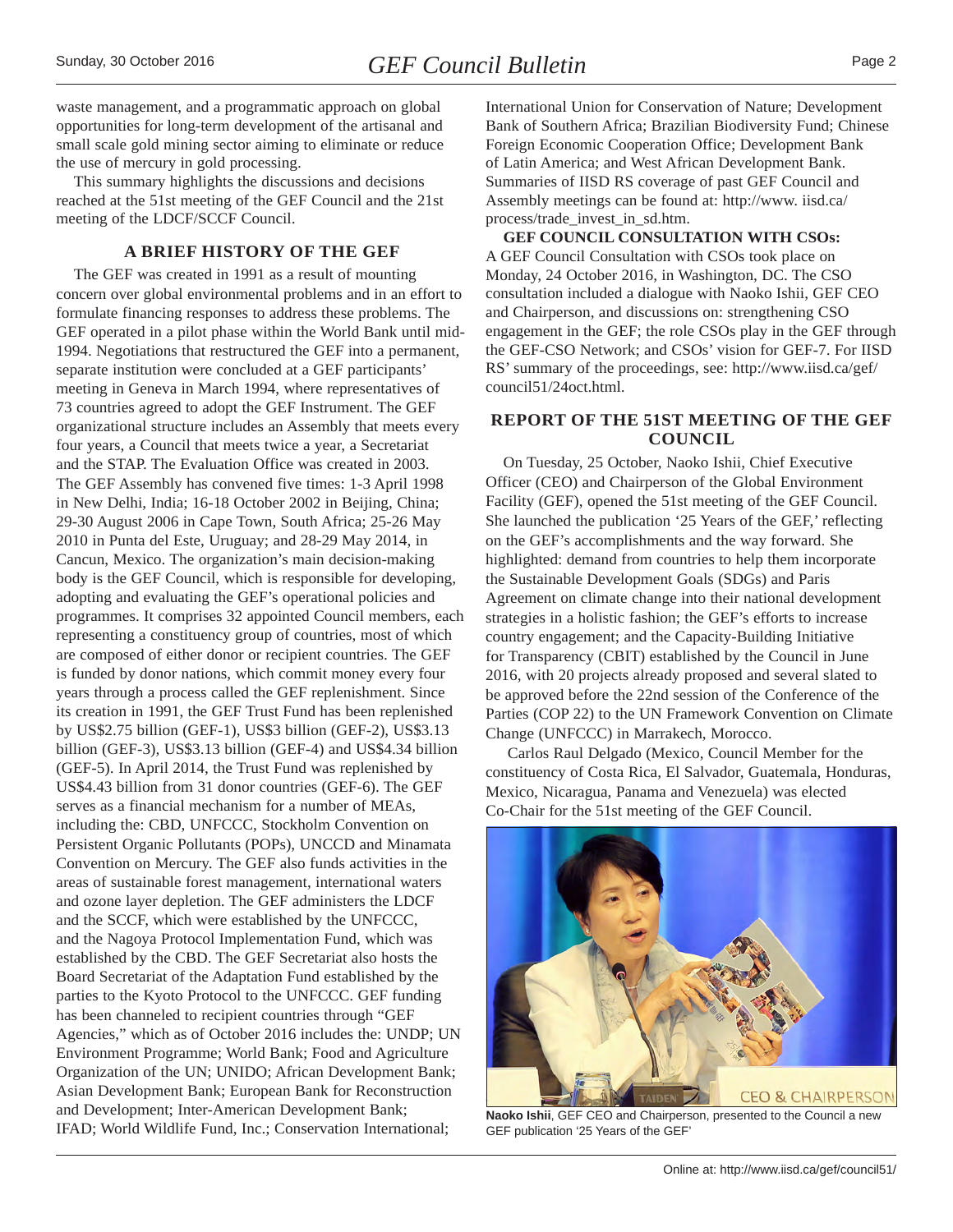<span id="page-1-0"></span>waste management, and a programmatic approach on global opportunities for long-term development of the artisanal and small scale gold mining sector aiming to eliminate or reduce the use of mercury in gold processing.

This summary highlights the discussions and decisions reached at the 51st meeting of the GEF Council and the 21st meeting of the LDCF/SCCF Council.

#### **A BRIEF HISTORY OF THE GEF**

The GEF was created in 1991 as a result of mounting concern over global environmental problems and in an effort to formulate financing responses to address these problems. The GEF operated in a pilot phase within the World Bank until mid-1994. Negotiations that restructured the GEF into a permanent, separate institution were concluded at a GEF participants' meeting in Geneva in March 1994, where representatives of 73 countries agreed to adopt the GEF Instrument. The GEF organizational structure includes an Assembly that meets every four years, a Council that meets twice a year, a Secretariat and the STAP. The Evaluation Office was created in 2003. The GEF Assembly has convened five times: 1-3 April 1998 in New Delhi, India; 16-18 October 2002 in Beijing, China; 29-30 August 2006 in Cape Town, South Africa; 25-26 May 2010 in Punta del Este, Uruguay; and 28-29 May 2014, in Cancun, Mexico. The organization's main decision-making body is the GEF Council, which is responsible for developing, adopting and evaluating the GEF's operational policies and programmes. It comprises 32 appointed Council members, each representing a constituency group of countries, most of which are composed of either donor or recipient countries. The GEF is funded by donor nations, which commit money every four years through a process called the GEF replenishment. Since its creation in 1991, the GEF Trust Fund has been replenished by US\$2.75 billion (GEF-1), US\$3 billion (GEF-2), US\$3.13 billion (GEF-3), US\$3.13 billion (GEF-4) and US\$4.34 billion (GEF-5). In April 2014, the Trust Fund was replenished by US\$4.43 billion from 31 donor countries (GEF-6). The GEF serves as a financial mechanism for a number of MEAs, including the: CBD, UNFCCC, Stockholm Convention on Persistent Organic Pollutants (POPs), UNCCD and Minamata Convention on Mercury. The GEF also funds activities in the areas of sustainable forest management, international waters and ozone layer depletion. The GEF administers the LDCF and the SCCF, which were established by the UNFCCC, and the Nagoya Protocol Implementation Fund, which was established by the CBD. The GEF Secretariat also hosts the Board Secretariat of the Adaptation Fund established by the parties to the Kyoto Protocol to the UNFCCC. GEF funding has been channeled to recipient countries through "GEF Agencies," which as of October 2016 includes the: UNDP; UN Environment Programme; World Bank; Food and Agriculture Organization of the UN; UNIDO; African Development Bank; Asian Development Bank; European Bank for Reconstruction and Development; Inter-American Development Bank; IFAD; World Wildlife Fund, Inc.; Conservation International;

International Union for Conservation of Nature; Development Bank of Southern Africa; Brazilian Biodiversity Fund; Chinese Foreign Economic Cooperation Office; Development Bank of Latin America; and West African Development Bank. Summaries of IISD RS coverage of past GEF Council and Assembly meetings can be found at: http://www. iisd.ca/ process/trade\_invest\_in\_sd.htm.

**GEF COUNCIL CONSULTATION WITH CSOs:** A GEF Council Consultation with CSOs took place on Monday, 24 October 2016, in Washington, DC. The CSO consultation included a dialogue with Naoko Ishii, GEF CEO and Chairperson, and discussions on: strengthening CSO engagement in the GEF; the role CSOs play in the GEF through the GEF-CSO Network; and CSOs' vision for GEF-7. For IISD RS' summary of the proceedings, see: http://www.iisd.ca/gef/ council51/24oct.html.

# **REPORT OF THE 51ST MEETING OF THE GEF COUNCIL**

On Tuesday, 25 October, Naoko Ishii, Chief Executive Officer (CEO) and Chairperson of the Global Environment Facility (GEF), opened the 51st meeting of the GEF Council. She launched the publication '25 Years of the GEF,' reflecting on the GEF's accomplishments and the way forward. She highlighted: demand from countries to help them incorporate the Sustainable Development Goals (SDGs) and Paris Agreement on climate change into their national development strategies in a holistic fashion; the GEF's efforts to increase country engagement; and the Capacity-Building Initiative for Transparency (CBIT) established by the Council in June 2016, with 20 projects already proposed and several slated to be approved before the 22nd session of the Conference of the Parties (COP 22) to the UN Framework Convention on Climate Change (UNFCCC) in Marrakech, Morocco.

 Carlos Raul Delgado (Mexico, Council Member for the constituency of Costa Rica, El Salvador, Guatemala, Honduras, Mexico, Nicaragua, Panama and Venezuela) was elected Co-Chair for the 51st meeting of the GEF Council.



**Naoko Ishii**, GEF CEO and Chairperson, presented to the Council a new GEF publication '25 Years of the GEF'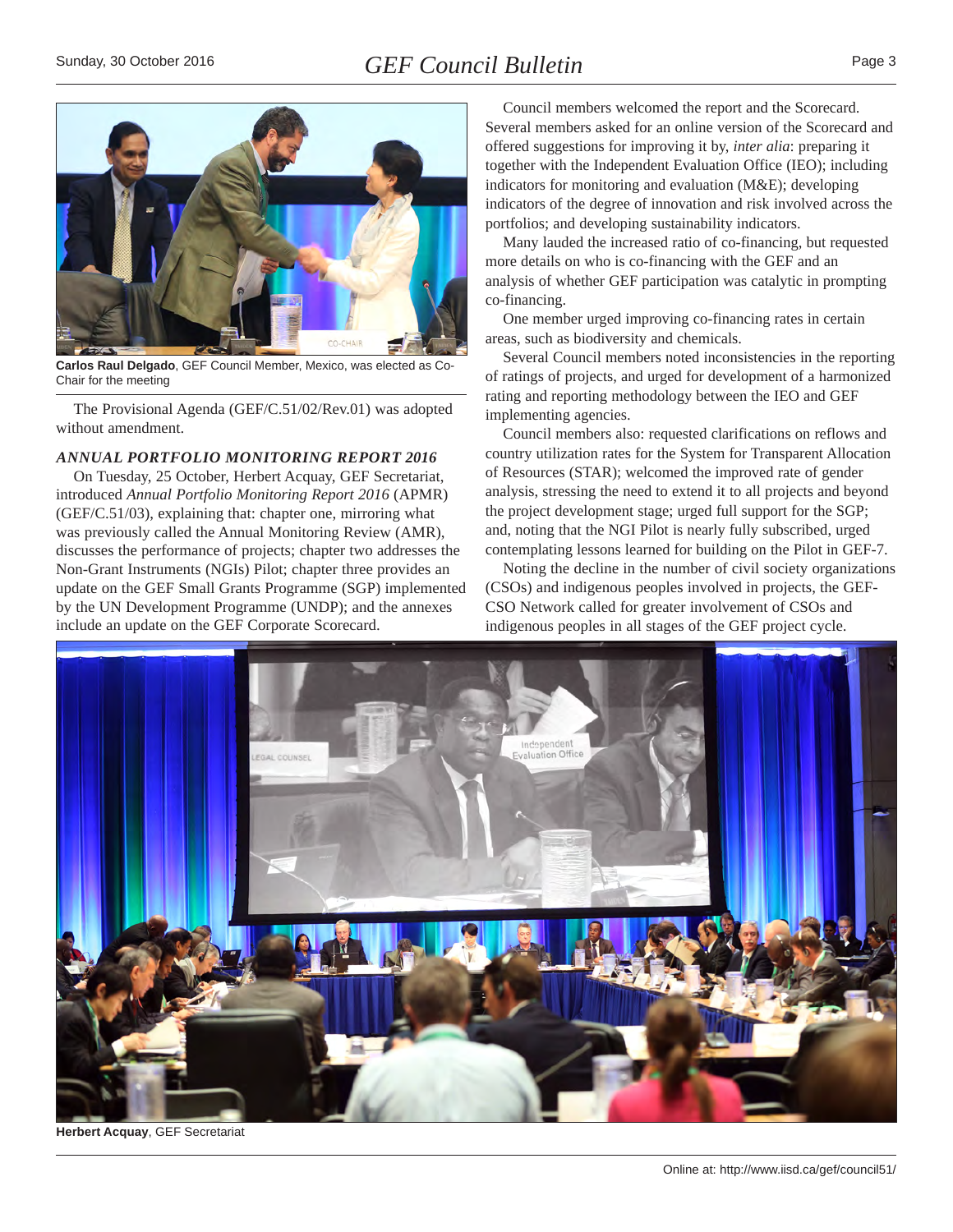<span id="page-2-0"></span>

**Carlos Raul Delgado**, GEF Council Member, Mexico, was elected as Co-Chair for the meeting

The Provisional Agenda (GEF/C.51/02/Rev.01) was adopted without amendment.

#### *ANNUAL PORTFOLIO MONITORING REPORT 2016*

On Tuesday, 25 October, Herbert Acquay, GEF Secretariat, introduced *Annual Portfolio Monitoring Report 2016* (APMR) (GEF/C.51/03), explaining that: chapter one, mirroring what was previously called the Annual Monitoring Review (AMR), discusses the performance of projects; chapter two addresses the Non-Grant Instruments (NGIs) Pilot; chapter three provides an update on the GEF Small Grants Programme (SGP) implemented by the UN Development Programme (UNDP); and the annexes include an update on the GEF Corporate Scorecard.

Council members welcomed the report and the Scorecard. Several members asked for an online version of the Scorecard and offered suggestions for improving it by, *inter alia*: preparing it together with the Independent Evaluation Office (IEO); including indicators for monitoring and evaluation (M&E); developing indicators of the degree of innovation and risk involved across the portfolios; and developing sustainability indicators.

Many lauded the increased ratio of co-financing, but requested more details on who is co-financing with the GEF and an analysis of whether GEF participation was catalytic in prompting co-financing.

One member urged improving co-financing rates in certain areas, such as biodiversity and chemicals.

Several Council members noted inconsistencies in the reporting of ratings of projects, and urged for development of a harmonized rating and reporting methodology between the IEO and GEF implementing agencies.

Council members also: requested clarifications on reflows and country utilization rates for the System for Transparent Allocation of Resources (STAR); welcomed the improved rate of gender analysis, stressing the need to extend it to all projects and beyond the project development stage; urged full support for the SGP; and, noting that the NGI Pilot is nearly fully subscribed, urged contemplating lessons learned for building on the Pilot in GEF-7.

Noting the decline in the number of civil society organizations (CSOs) and indigenous peoples involved in projects, the GEF-CSO Network called for greater involvement of CSOs and indigenous peoples in all stages of the GEF project cycle.



**Herbert Acquay**, GEF Secretariat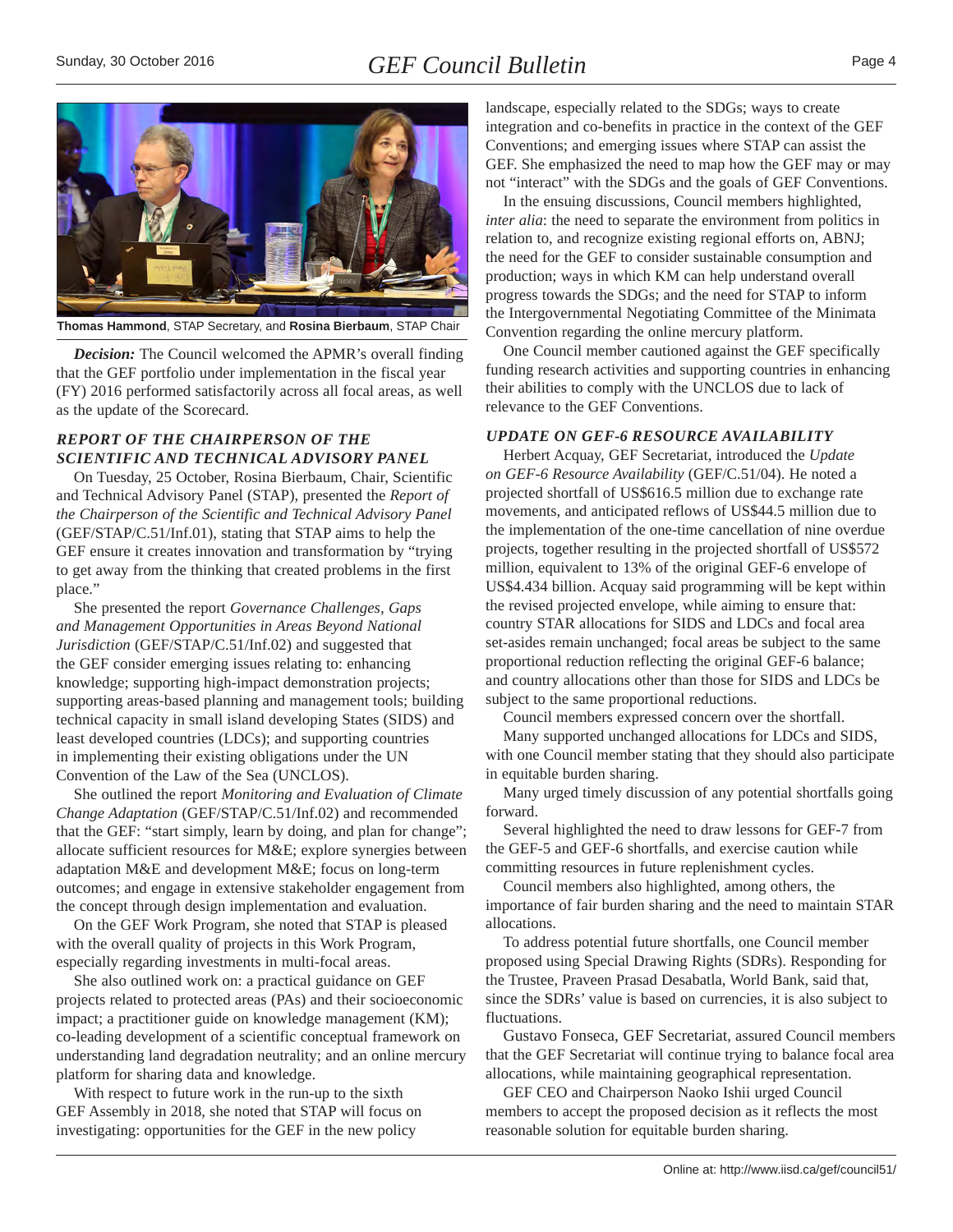<span id="page-3-0"></span>

**Thomas Hammond**, STAP Secretary, and **Rosina Bierbaum**, STAP Chair

*Decision:* The Council welcomed the APMR's overall finding that the GEF portfolio under implementation in the fiscal year (FY) 2016 performed satisfactorily across all focal areas, as well as the update of the Scorecard.

## *REPORT OF THE CHAIRPERSON OF THE SCIENTIFIC AND TECHNICAL ADVISORY PANEL*

On Tuesday, 25 October, Rosina Bierbaum, Chair, Scientific and Technical Advisory Panel (STAP), presented the *Report of the Chairperson of the Scientific and Technical Advisory Panel* (GEF/STAP/C.51/Inf.01), stating that STAP aims to help the GEF ensure it creates innovation and transformation by "trying to get away from the thinking that created problems in the first place."

She presented the report *Governance Challenges, Gaps and Management Opportunities in Areas Beyond National Jurisdiction* (GEF/STAP/C.51/Inf.02) and suggested that the GEF consider emerging issues relating to: enhancing knowledge; supporting high-impact demonstration projects; supporting areas-based planning and management tools; building technical capacity in small island developing States (SIDS) and least developed countries (LDCs); and supporting countries in implementing their existing obligations under the UN Convention of the Law of the Sea (UNCLOS).

She outlined the report *Monitoring and Evaluation of Climate Change Adaptation* (GEF/STAP/C.51/Inf.02) and recommended that the GEF: "start simply, learn by doing, and plan for change"; allocate sufficient resources for M&E; explore synergies between adaptation M&E and development M&E; focus on long-term outcomes; and engage in extensive stakeholder engagement from the concept through design implementation and evaluation.

On the GEF Work Program, she noted that STAP is pleased with the overall quality of projects in this Work Program, especially regarding investments in multi-focal areas.

She also outlined work on: a practical guidance on GEF projects related to protected areas (PAs) and their socioeconomic impact; a practitioner guide on knowledge management (KM); co-leading development of a scientific conceptual framework on understanding land degradation neutrality; and an online mercury platform for sharing data and knowledge.

With respect to future work in the run-up to the sixth GEF Assembly in 2018, she noted that STAP will focus on investigating: opportunities for the GEF in the new policy

landscape, especially related to the SDGs; ways to create integration and co-benefits in practice in the context of the GEF Conventions; and emerging issues where STAP can assist the GEF. She emphasized the need to map how the GEF may or may not "interact" with the SDGs and the goals of GEF Conventions.

In the ensuing discussions, Council members highlighted, *inter alia*: the need to separate the environment from politics in relation to, and recognize existing regional efforts on, ABNJ; the need for the GEF to consider sustainable consumption and production; ways in which KM can help understand overall progress towards the SDGs; and the need for STAP to inform the Intergovernmental Negotiating Committee of the Minimata Convention regarding the online mercury platform.

One Council member cautioned against the GEF specifically funding research activities and supporting countries in enhancing their abilities to comply with the UNCLOS due to lack of relevance to the GEF Conventions.

#### *UPDATE ON GEF-6 RESOURCE AVAILABILITY*

Herbert Acquay, GEF Secretariat, introduced the *Update on GEF-6 Resource Availability* (GEF/C.51/04). He noted a projected shortfall of US\$616.5 million due to exchange rate movements, and anticipated reflows of US\$44.5 million due to the implementation of the one-time cancellation of nine overdue projects, together resulting in the projected shortfall of US\$572 million, equivalent to 13% of the original GEF-6 envelope of US\$4.434 billion. Acquay said programming will be kept within the revised projected envelope, while aiming to ensure that: country STAR allocations for SIDS and LDCs and focal area set-asides remain unchanged; focal areas be subject to the same proportional reduction reflecting the original GEF-6 balance; and country allocations other than those for SIDS and LDCs be subject to the same proportional reductions.

Council members expressed concern over the shortfall.

Many supported unchanged allocations for LDCs and SIDS, with one Council member stating that they should also participate in equitable burden sharing.

Many urged timely discussion of any potential shortfalls going forward.

Several highlighted the need to draw lessons for GEF-7 from the GEF-5 and GEF-6 shortfalls, and exercise caution while committing resources in future replenishment cycles.

Council members also highlighted, among others, the importance of fair burden sharing and the need to maintain STAR allocations.

To address potential future shortfalls, one Council member proposed using Special Drawing Rights (SDRs). Responding for the Trustee, Praveen Prasad Desabatla, World Bank, said that, since the SDRs' value is based on currencies, it is also subject to fluctuations.

Gustavo Fonseca, GEF Secretariat, assured Council members that the GEF Secretariat will continue trying to balance focal area allocations, while maintaining geographical representation.

GEF CEO and Chairperson Naoko Ishii urged Council members to accept the proposed decision as it reflects the most reasonable solution for equitable burden sharing.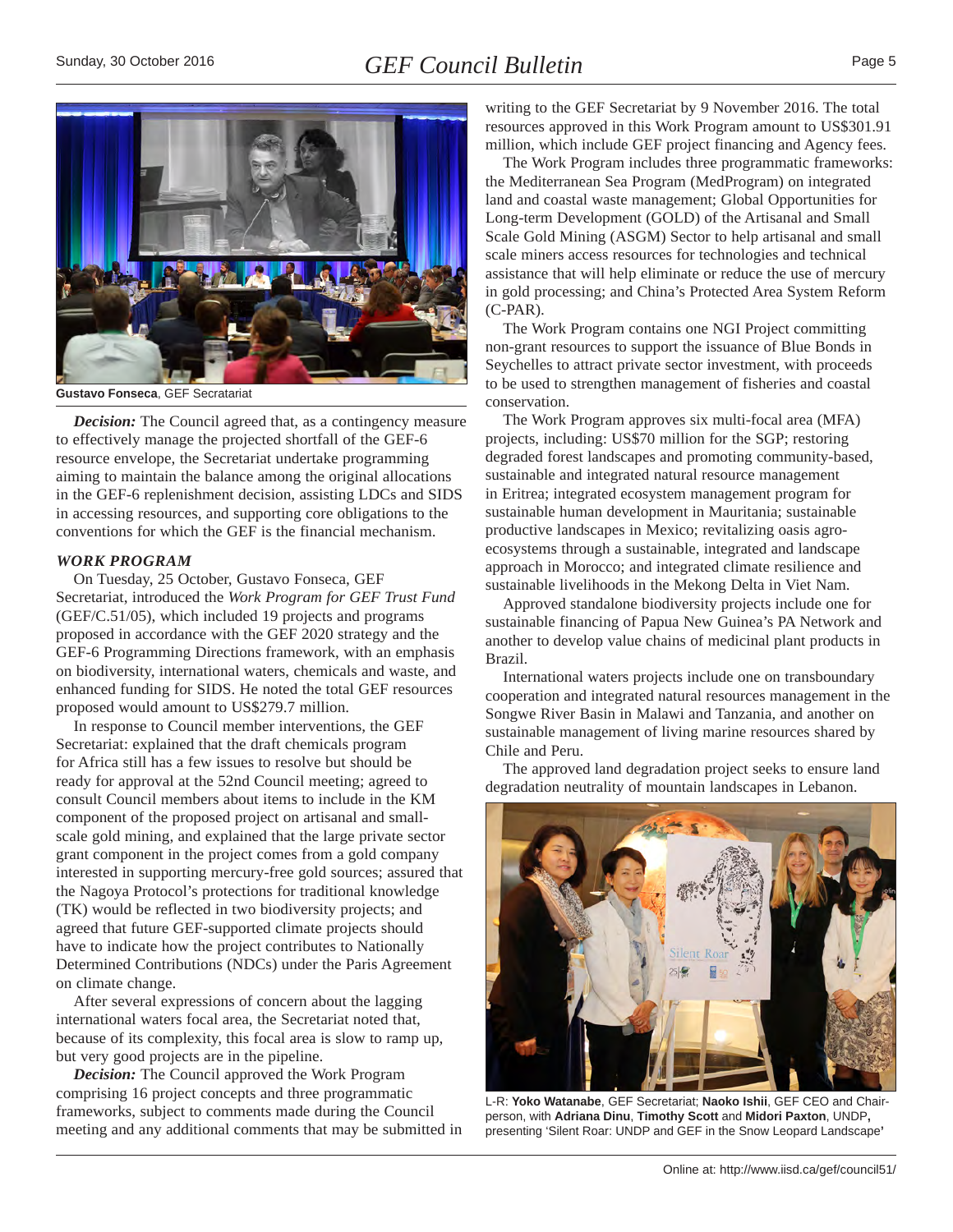<span id="page-4-0"></span>

**Gustavo Fonseca**, GEF Secratariat

*Decision:* The Council agreed that, as a contingency measure to effectively manage the projected shortfall of the GEF-6 resource envelope, the Secretariat undertake programming aiming to maintain the balance among the original allocations in the GEF-6 replenishment decision, assisting LDCs and SIDS in accessing resources, and supporting core obligations to the conventions for which the GEF is the financial mechanism.

#### *WORK PROGRAM*

On Tuesday, 25 October, Gustavo Fonseca, GEF Secretariat, introduced the *Work Program for GEF Trust Fund* (GEF/C.51/05), which included 19 projects and programs proposed in accordance with the GEF 2020 strategy and the GEF-6 Programming Directions framework, with an emphasis on biodiversity, international waters, chemicals and waste, and enhanced funding for SIDS. He noted the total GEF resources proposed would amount to US\$279.7 million.

In response to Council member interventions, the GEF Secretariat: explained that the draft chemicals program for Africa still has a few issues to resolve but should be ready for approval at the 52nd Council meeting; agreed to consult Council members about items to include in the KM component of the proposed project on artisanal and smallscale gold mining, and explained that the large private sector grant component in the project comes from a gold company interested in supporting mercury-free gold sources; assured that the Nagoya Protocol's protections for traditional knowledge (TK) would be reflected in two biodiversity projects; and agreed that future GEF-supported climate projects should have to indicate how the project contributes to Nationally Determined Contributions (NDCs) under the Paris Agreement on climate change.

After several expressions of concern about the lagging international waters focal area, the Secretariat noted that, because of its complexity, this focal area is slow to ramp up, but very good projects are in the pipeline.

*Decision:* The Council approved the Work Program comprising 16 project concepts and three programmatic frameworks, subject to comments made during the Council meeting and any additional comments that may be submitted in writing to the GEF Secretariat by 9 November 2016. The total resources approved in this Work Program amount to US\$301.91 million, which include GEF project financing and Agency fees.

The Work Program includes three programmatic frameworks: the Mediterranean Sea Program (MedProgram) on integrated land and coastal waste management; Global Opportunities for Long-term Development (GOLD) of the Artisanal and Small Scale Gold Mining (ASGM) Sector to help artisanal and small scale miners access resources for technologies and technical assistance that will help eliminate or reduce the use of mercury in gold processing; and China's Protected Area System Reform (C-PAR).

The Work Program contains one NGI Project committing non-grant resources to support the issuance of Blue Bonds in Seychelles to attract private sector investment, with proceeds to be used to strengthen management of fisheries and coastal conservation.

The Work Program approves six multi-focal area (MFA) projects, including: US\$70 million for the SGP; restoring degraded forest landscapes and promoting community-based, sustainable and integrated natural resource management in Eritrea; integrated ecosystem management program for sustainable human development in Mauritania; sustainable productive landscapes in Mexico; revitalizing oasis agroecosystems through a sustainable, integrated and landscape approach in Morocco; and integrated climate resilience and sustainable livelihoods in the Mekong Delta in Viet Nam.

Approved standalone biodiversity projects include one for sustainable financing of Papua New Guinea's PA Network and another to develop value chains of medicinal plant products in Brazil.

International waters projects include one on transboundary cooperation and integrated natural resources management in the Songwe River Basin in Malawi and Tanzania, and another on sustainable management of living marine resources shared by Chile and Peru.

The approved land degradation project seeks to ensure land degradation neutrality of mountain landscapes in Lebanon.



L-R: **Yoko Watanabe**, GEF Secretariat; **Naoko Ishii**, GEF CEO and Chairperson, with **Adriana Dinu**, **Timothy Scott** and **Midori Paxton**, UNDP**,**  presenting 'Silent Roar: UNDP and GEF in the Snow Leopard Landscape**'**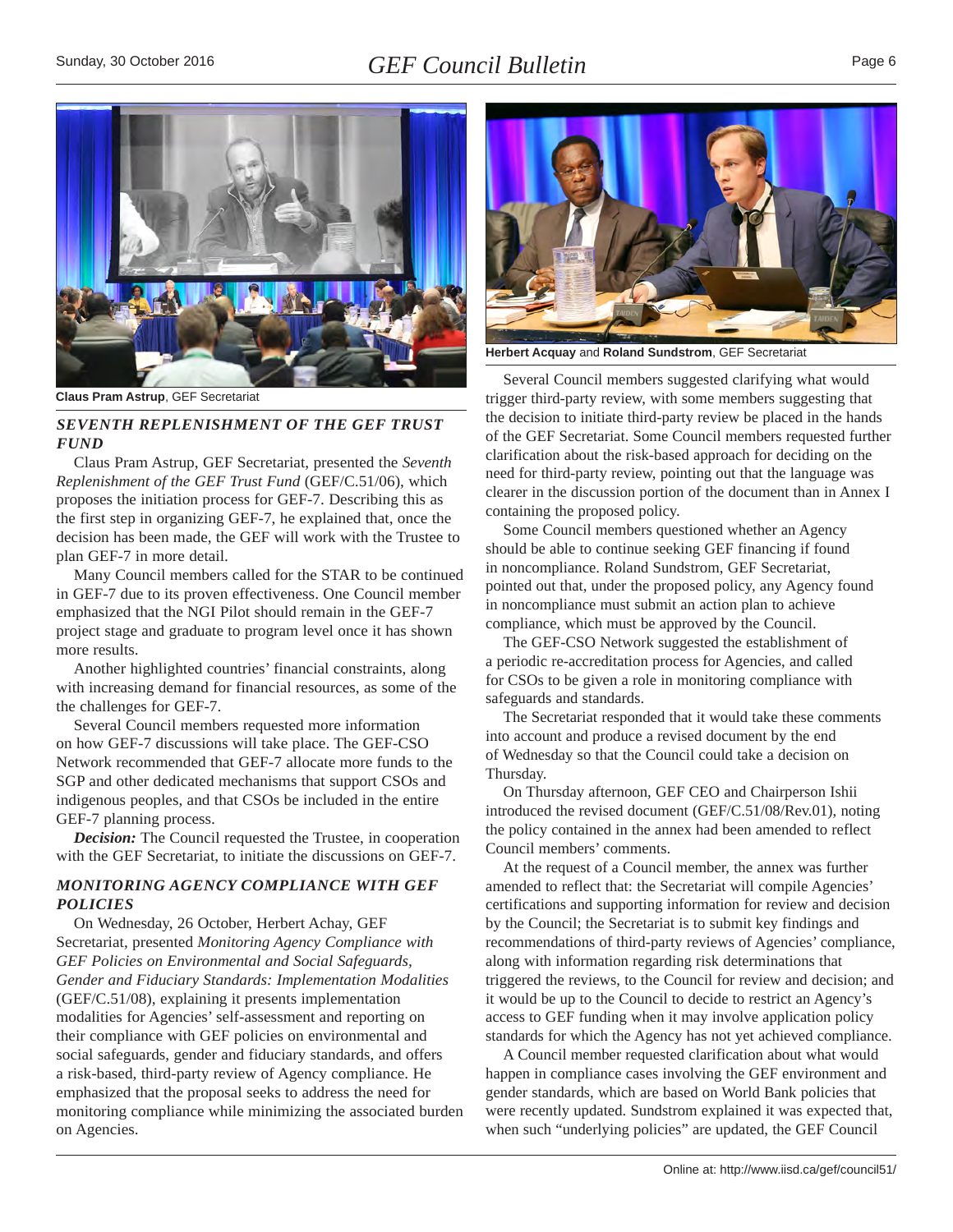<span id="page-5-0"></span>

**Claus Pram Astrup**, GEF Secretariat

## *SEVENTH REPLENISHMENT OF THE GEF TRUST FUND*

Claus Pram Astrup, GEF Secretariat, presented the *Seventh Replenishment of the GEF Trust Fund* (GEF/C.51/06), which proposes the initiation process for GEF-7. Describing this as the first step in organizing GEF-7, he explained that, once the decision has been made, the GEF will work with the Trustee to plan GEF-7 in more detail.

Many Council members called for the STAR to be continued in GEF-7 due to its proven effectiveness. One Council member emphasized that the NGI Pilot should remain in the GEF-7 project stage and graduate to program level once it has shown more results.

Another highlighted countries' financial constraints, along with increasing demand for financial resources, as some of the the challenges for GEF-7.

Several Council members requested more information on how GEF-7 discussions will take place. The GEF-CSO Network recommended that GEF-7 allocate more funds to the SGP and other dedicated mechanisms that support CSOs and indigenous peoples, and that CSOs be included in the entire GEF-7 planning process.

*Decision:* The Council requested the Trustee, in cooperation with the GEF Secretariat, to initiate the discussions on GEF-7.

#### *MONITORING AGENCY COMPLIANCE WITH GEF POLICIES*

On Wednesday, 26 October, Herbert Achay, GEF Secretariat, presented *Monitoring Agency Compliance with GEF Policies on Environmental and Social Safeguards, Gender and Fiduciary Standards: Implementation Modalities* (GEF/C.51/08), explaining it presents implementation modalities for Agencies' self-assessment and reporting on their compliance with GEF policies on environmental and social safeguards, gender and fiduciary standards, and offers a risk-based, third-party review of Agency compliance. He emphasized that the proposal seeks to address the need for monitoring compliance while minimizing the associated burden on Agencies.



**Herbert Acquay** and **Roland Sundstrom**, GEF Secretariat

Several Council members suggested clarifying what would trigger third-party review, with some members suggesting that the decision to initiate third-party review be placed in the hands of the GEF Secretariat. Some Council members requested further clarification about the risk-based approach for deciding on the need for third-party review, pointing out that the language was clearer in the discussion portion of the document than in Annex I containing the proposed policy.

Some Council members questioned whether an Agency should be able to continue seeking GEF financing if found in noncompliance. Roland Sundstrom, GEF Secretariat, pointed out that, under the proposed policy, any Agency found in noncompliance must submit an action plan to achieve compliance, which must be approved by the Council.

The GEF-CSO Network suggested the establishment of a periodic re-accreditation process for Agencies, and called for CSOs to be given a role in monitoring compliance with safeguards and standards.

The Secretariat responded that it would take these comments into account and produce a revised document by the end of Wednesday so that the Council could take a decision on Thursday.

On Thursday afternoon, GEF CEO and Chairperson Ishii introduced the revised document (GEF/C.51/08/Rev.01), noting the policy contained in the annex had been amended to reflect Council members' comments.

At the request of a Council member, the annex was further amended to reflect that: the Secretariat will compile Agencies' certifications and supporting information for review and decision by the Council; the Secretariat is to submit key findings and recommendations of third-party reviews of Agencies' compliance, along with information regarding risk determinations that triggered the reviews, to the Council for review and decision; and it would be up to the Council to decide to restrict an Agency's access to GEF funding when it may involve application policy standards for which the Agency has not yet achieved compliance.

A Council member requested clarification about what would happen in compliance cases involving the GEF environment and gender standards, which are based on World Bank policies that were recently updated. Sundstrom explained it was expected that, when such "underlying policies" are updated, the GEF Council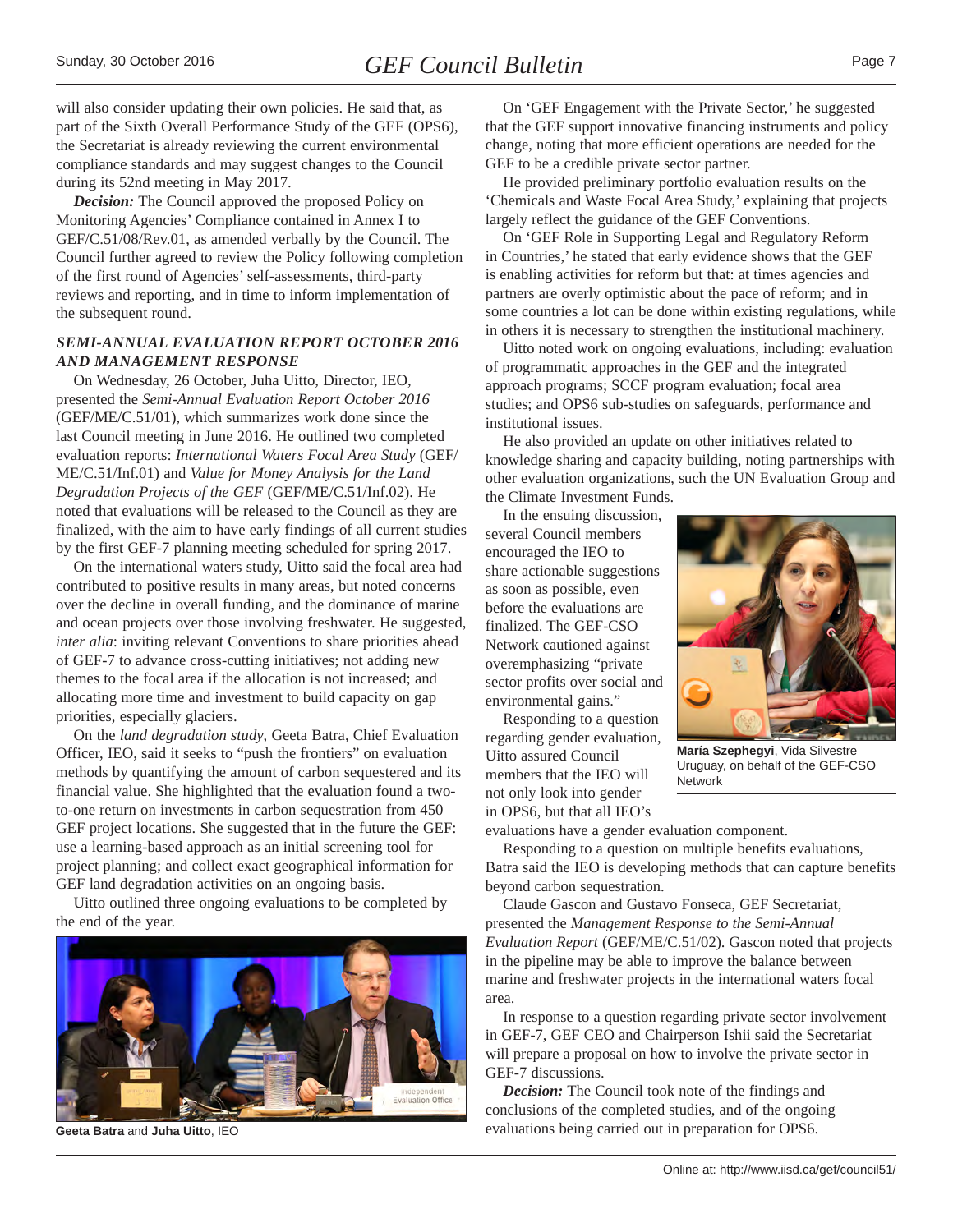<span id="page-6-0"></span>will also consider updating their own policies. He said that, as part of the Sixth Overall Performance Study of the GEF (OPS6), the Secretariat is already reviewing the current environmental compliance standards and may suggest changes to the Council during its 52nd meeting in May 2017.

*Decision:* The Council approved the proposed Policy on Monitoring Agencies' Compliance contained in Annex I to GEF/C.51/08/Rev.01, as amended verbally by the Council. The Council further agreed to review the Policy following completion of the first round of Agencies' self-assessments, third-party reviews and reporting, and in time to inform implementation of the subsequent round.

### *SEMI-ANNUAL EVALUATION REPORT OCTOBER 2016 AND MANAGEMENT RESPONSE*

On Wednesday, 26 October, Juha Uitto, Director, IEO, presented the *Semi-Annual Evaluation Report October 2016* (GEF/ME/C.51/01), which summarizes work done since the last Council meeting in June 2016. He outlined two completed evaluation reports: *International Waters Focal Area Study* (GEF/ ME/C.51/Inf.01) and *Value for Money Analysis for the Land Degradation Projects of the GEF* (GEF/ME/C.51/Inf.02). He noted that evaluations will be released to the Council as they are finalized, with the aim to have early findings of all current studies by the first GEF-7 planning meeting scheduled for spring 2017.

On the international waters study, Uitto said the focal area had contributed to positive results in many areas, but noted concerns over the decline in overall funding, and the dominance of marine and ocean projects over those involving freshwater. He suggested, *inter alia*: inviting relevant Conventions to share priorities ahead of GEF-7 to advance cross-cutting initiatives; not adding new themes to the focal area if the allocation is not increased; and allocating more time and investment to build capacity on gap priorities, especially glaciers.

On the *land degradation study*, Geeta Batra, Chief Evaluation Officer, IEO, said it seeks to "push the frontiers" on evaluation methods by quantifying the amount of carbon sequestered and its financial value. She highlighted that the evaluation found a twoto-one return on investments in carbon sequestration from 450 GEF project locations. She suggested that in the future the GEF: use a learning-based approach as an initial screening tool for project planning; and collect exact geographical information for GEF land degradation activities on an ongoing basis.

Uitto outlined three ongoing evaluations to be completed by the end of the year.



On 'GEF Engagement with the Private Sector,' he suggested that the GEF support innovative financing instruments and policy change, noting that more efficient operations are needed for the GEF to be a credible private sector partner.

He provided preliminary portfolio evaluation results on the 'Chemicals and Waste Focal Area Study,' explaining that projects largely reflect the guidance of the GEF Conventions.

On 'GEF Role in Supporting Legal and Regulatory Reform in Countries,' he stated that early evidence shows that the GEF is enabling activities for reform but that: at times agencies and partners are overly optimistic about the pace of reform; and in some countries a lot can be done within existing regulations, while in others it is necessary to strengthen the institutional machinery.

Uitto noted work on ongoing evaluations, including: evaluation of programmatic approaches in the GEF and the integrated approach programs; SCCF program evaluation; focal area studies; and OPS6 sub-studies on safeguards, performance and institutional issues.

He also provided an update on other initiatives related to knowledge sharing and capacity building, noting partnerships with other evaluation organizations, such the UN Evaluation Group and the Climate Investment Funds.

In the ensuing discussion, several Council members encouraged the IEO to share actionable suggestions as soon as possible, even before the evaluations are finalized. The GEF-CSO Network cautioned against overemphasizing "private sector profits over social and environmental gains."

Responding to a question regarding gender evaluation, Uitto assured Council members that the IEO will not only look into gender in OPS6, but that all IEO's



**María Szephegyi**, Vida Silvestre Uruguay, on behalf of the GEF-CSO Network

evaluations have a gender evaluation component.

Responding to a question on multiple benefits evaluations, Batra said the IEO is developing methods that can capture benefits beyond carbon sequestration.

Claude Gascon and Gustavo Fonseca, GEF Secretariat, presented the *Management Response to the Semi-Annual Evaluation Report* (GEF/ME/C.51/02). Gascon noted that projects in the pipeline may be able to improve the balance between marine and freshwater projects in the international waters focal area.

In response to a question regarding private sector involvement in GEF-7, GEF CEO and Chairperson Ishii said the Secretariat will prepare a proposal on how to involve the private sector in GEF-7 discussions.

*Decision:* The Council took note of the findings and conclusions of the completed studies, and of the ongoing **Geeta Batra and Juha Uitto**, IEO evaluations being carried out in preparation for OPS6.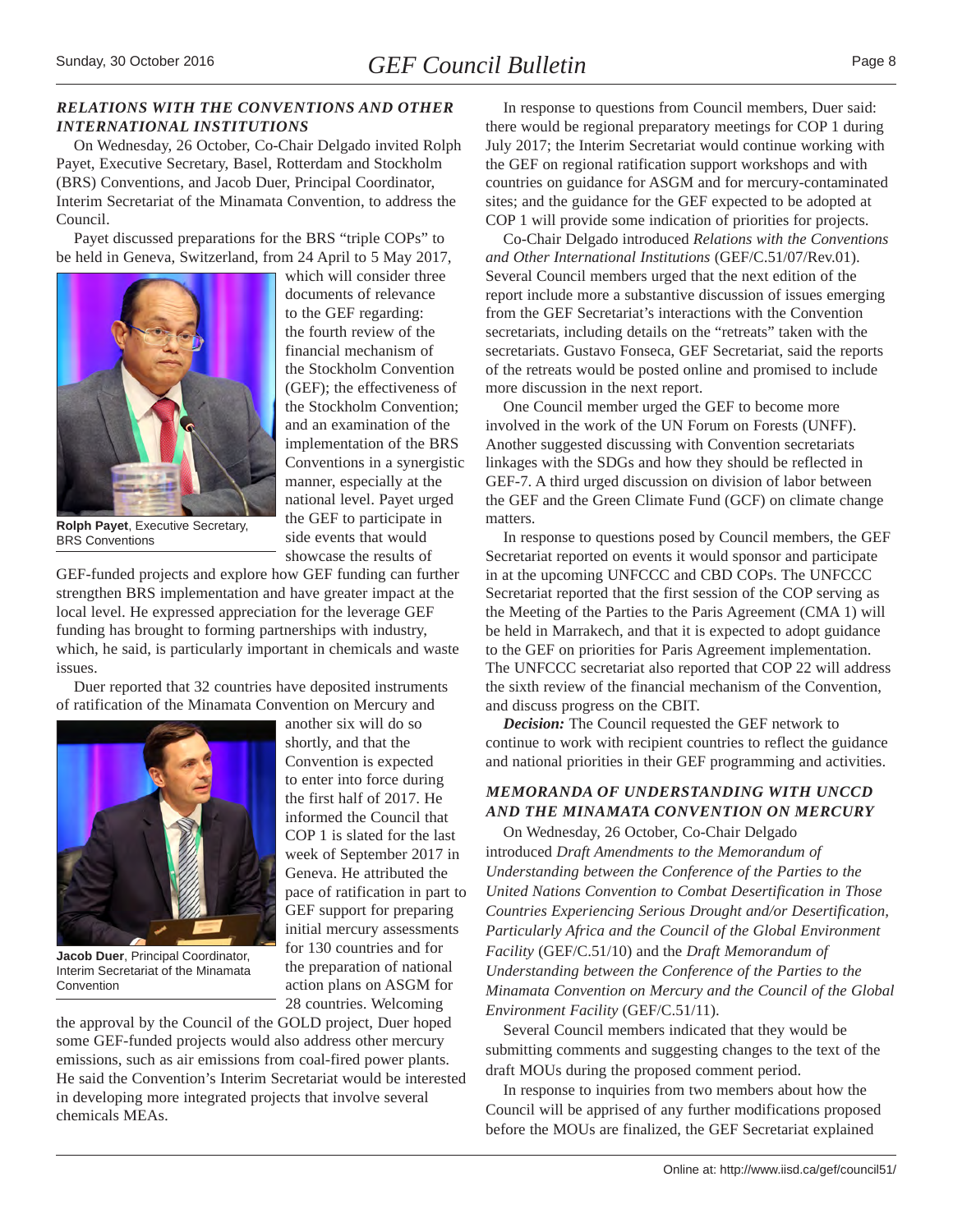### <span id="page-7-0"></span>*RELATIONS WITH THE CONVENTIONS AND OTHER INTERNATIONAL INSTITUTIONS*

On Wednesday, 26 October, Co-Chair Delgado invited Rolph Payet, Executive Secretary, Basel, Rotterdam and Stockholm (BRS) Conventions, and Jacob Duer, Principal Coordinator, Interim Secretariat of the Minamata Convention, to address the Council.

Payet discussed preparations for the BRS "triple COPs" to be held in Geneva, Switzerland, from 24 April to 5 May 2017,



which will consider three documents of relevance to the GEF regarding: the fourth review of the financial mechanism of the Stockholm Convention (GEF); the effectiveness of the Stockholm Convention; and an examination of the implementation of the BRS Conventions in a synergistic manner, especially at the national level. Payet urged the GEF to participate in side events that would showcase the results of

**Rolph Payet**, Executive Secretary, BRS Conventions

GEF-funded projects and explore how GEF funding can further strengthen BRS implementation and have greater impact at the local level. He expressed appreciation for the leverage GEF funding has brought to forming partnerships with industry, which, he said, is particularly important in chemicals and waste issues.

Duer reported that 32 countries have deposited instruments of ratification of the Minamata Convention on Mercury and



**Jacob Duer**, Principal Coordinator, Interim Secretariat of the Minamata Convention

another six will do so shortly, and that the Convention is expected to enter into force during the first half of 2017. He informed the Council that COP 1 is slated for the last week of September 2017 in Geneva. He attributed the pace of ratification in part to GEF support for preparing initial mercury assessments for 130 countries and for the preparation of national action plans on ASGM for 28 countries. Welcoming

the approval by the Council of the GOLD project, Duer hoped some GEF-funded projects would also address other mercury emissions, such as air emissions from coal-fired power plants. He said the Convention's Interim Secretariat would be interested in developing more integrated projects that involve several chemicals MEAs.

In response to questions from Council members, Duer said: there would be regional preparatory meetings for COP 1 during July 2017; the Interim Secretariat would continue working with the GEF on regional ratification support workshops and with countries on guidance for ASGM and for mercury-contaminated sites; and the guidance for the GEF expected to be adopted at COP 1 will provide some indication of priorities for projects.

Co-Chair Delgado introduced *Relations with the Conventions and Other International Institutions* (GEF/C.51/07/Rev.01). Several Council members urged that the next edition of the report include more a substantive discussion of issues emerging from the GEF Secretariat's interactions with the Convention secretariats, including details on the "retreats" taken with the secretariats. Gustavo Fonseca, GEF Secretariat, said the reports of the retreats would be posted online and promised to include more discussion in the next report.

One Council member urged the GEF to become more involved in the work of the UN Forum on Forests (UNFF). Another suggested discussing with Convention secretariats linkages with the SDGs and how they should be reflected in GEF-7. A third urged discussion on division of labor between the GEF and the Green Climate Fund (GCF) on climate change matters.

In response to questions posed by Council members, the GEF Secretariat reported on events it would sponsor and participate in at the upcoming UNFCCC and CBD COPs. The UNFCCC Secretariat reported that the first session of the COP serving as the Meeting of the Parties to the Paris Agreement (CMA 1) will be held in Marrakech, and that it is expected to adopt guidance to the GEF on priorities for Paris Agreement implementation. The UNFCCC secretariat also reported that COP 22 will address the sixth review of the financial mechanism of the Convention, and discuss progress on the CBIT.

*Decision:* The Council requested the GEF network to continue to work with recipient countries to reflect the guidance and national priorities in their GEF programming and activities.

# *MEMORANDA OF UNDERSTANDING WITH UNCCD AND THE MINAMATA CONVENTION ON MERCURY*

On Wednesday, 26 October, Co-Chair Delgado introduced *Draft Amendments to the Memorandum of Understanding between the Conference of the Parties to the United Nations Convention to Combat Desertification in Those Countries Experiencing Serious Drought and/or Desertification, Particularly Africa and the Council of the Global Environment Facility* (GEF/C.51/10) and the *Draft Memorandum of Understanding between the Conference of the Parties to the Minamata Convention on Mercury and the Council of the Global Environment Facility* (GEF/C.51/11).

Several Council members indicated that they would be submitting comments and suggesting changes to the text of the draft MOUs during the proposed comment period.

In response to inquiries from two members about how the Council will be apprised of any further modifications proposed before the MOUs are finalized, the GEF Secretariat explained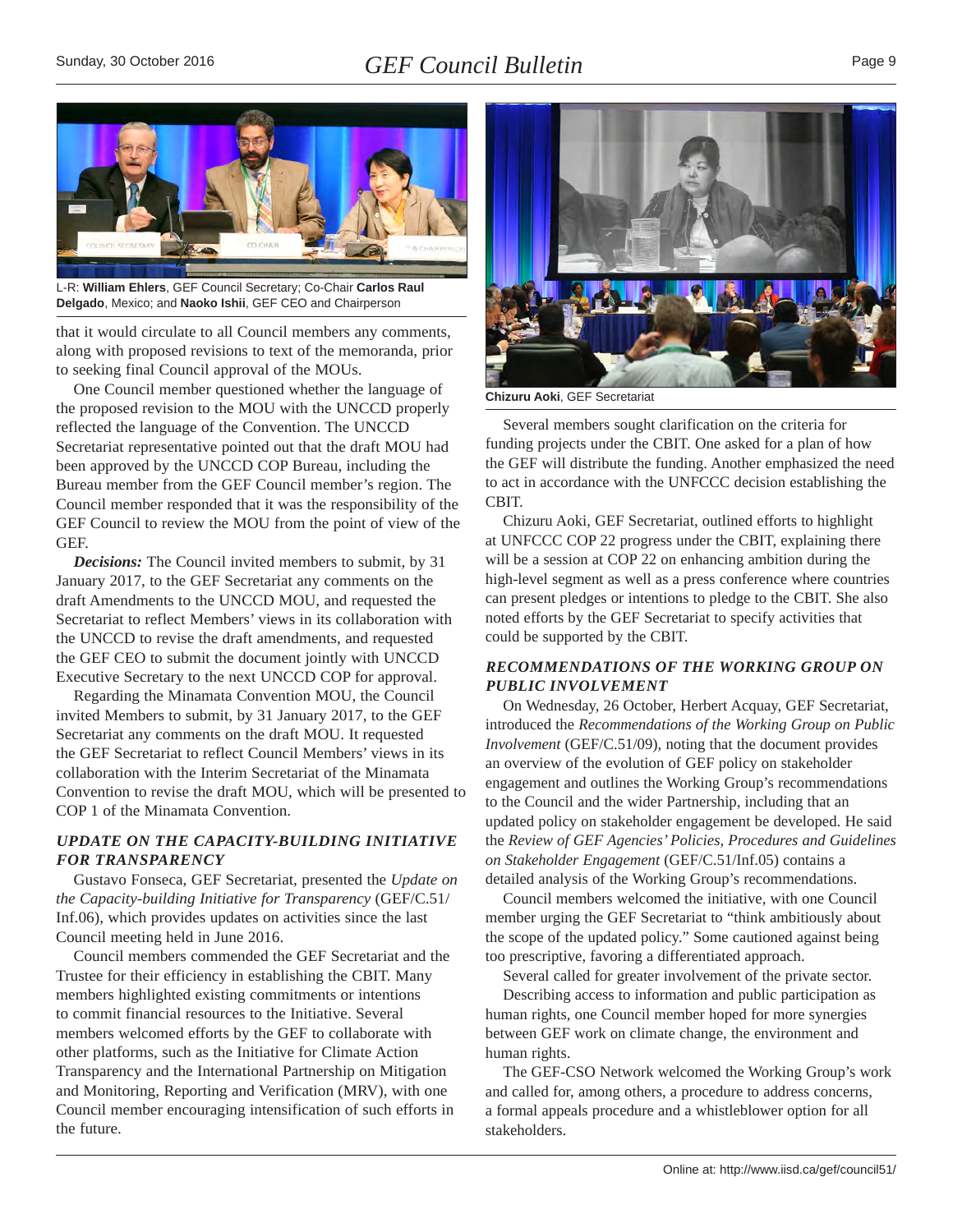<span id="page-8-0"></span>

L-R: **William Ehlers**, GEF Council Secretary; Co-Chair **Carlos Raul Delgado**, Mexico; and **Naoko Ishii**, GEF CEO and Chairperson

that it would circulate to all Council members any comments, along with proposed revisions to text of the memoranda, prior to seeking final Council approval of the MOUs.

One Council member questioned whether the language of the proposed revision to the MOU with the UNCCD properly reflected the language of the Convention. The UNCCD Secretariat representative pointed out that the draft MOU had been approved by the UNCCD COP Bureau, including the Bureau member from the GEF Council member's region. The Council member responded that it was the responsibility of the GEF Council to review the MOU from the point of view of the GEF.

*Decisions:* The Council invited members to submit, by 31 January 2017, to the GEF Secretariat any comments on the draft Amendments to the UNCCD MOU, and requested the Secretariat to reflect Members' views in its collaboration with the UNCCD to revise the draft amendments, and requested the GEF CEO to submit the document jointly with UNCCD Executive Secretary to the next UNCCD COP for approval.

Regarding the Minamata Convention MOU, the Council invited Members to submit, by 31 January 2017, to the GEF Secretariat any comments on the draft MOU. It requested the GEF Secretariat to reflect Council Members' views in its collaboration with the Interim Secretariat of the Minamata Convention to revise the draft MOU, which will be presented to COP 1 of the Minamata Convention.

# *UPDATE ON THE CAPACITY-BUILDING INITIATIVE FOR TRANSPARENCY*

Gustavo Fonseca, GEF Secretariat, presented the *Update on the Capacity-building Initiative for Transparency* (GEF/C.51/ Inf.06), which provides updates on activities since the last Council meeting held in June 2016.

Council members commended the GEF Secretariat and the Trustee for their efficiency in establishing the CBIT. Many members highlighted existing commitments or intentions to commit financial resources to the Initiative. Several members welcomed efforts by the GEF to collaborate with other platforms, such as the Initiative for Climate Action Transparency and the International Partnership on Mitigation and Monitoring, Reporting and Verification (MRV), with one Council member encouraging intensification of such efforts in the future.



**Chizuru Aoki**, GEF Secretariat

Several members sought clarification on the criteria for funding projects under the CBIT. One asked for a plan of how the GEF will distribute the funding. Another emphasized the need to act in accordance with the UNFCCC decision establishing the CBIT.

Chizuru Aoki, GEF Secretariat, outlined efforts to highlight at UNFCCC COP 22 progress under the CBIT, explaining there will be a session at COP 22 on enhancing ambition during the high-level segment as well as a press conference where countries can present pledges or intentions to pledge to the CBIT. She also noted efforts by the GEF Secretariat to specify activities that could be supported by the CBIT.

# *RECOMMENDATIONS OF THE WORKING GROUP ON PUBLIC INVOLVEMENT*

On Wednesday, 26 October, Herbert Acquay, GEF Secretariat, introduced the *Recommendations of the Working Group on Public Involvement* (GEF/C.51/09), noting that the document provides an overview of the evolution of GEF policy on stakeholder engagement and outlines the Working Group's recommendations to the Council and the wider Partnership, including that an updated policy on stakeholder engagement be developed. He said the *Review of GEF Agencies' Policies, Procedures and Guidelines on Stakeholder Engagement* (GEF/C.51/Inf.05) contains a detailed analysis of the Working Group's recommendations.

Council members welcomed the initiative, with one Council member urging the GEF Secretariat to "think ambitiously about the scope of the updated policy." Some cautioned against being too prescriptive, favoring a differentiated approach.

Several called for greater involvement of the private sector. Describing access to information and public participation as human rights, one Council member hoped for more synergies between GEF work on climate change, the environment and human rights.

The GEF-CSO Network welcomed the Working Group's work and called for, among others, a procedure to address concerns, a formal appeals procedure and a whistleblower option for all stakeholders.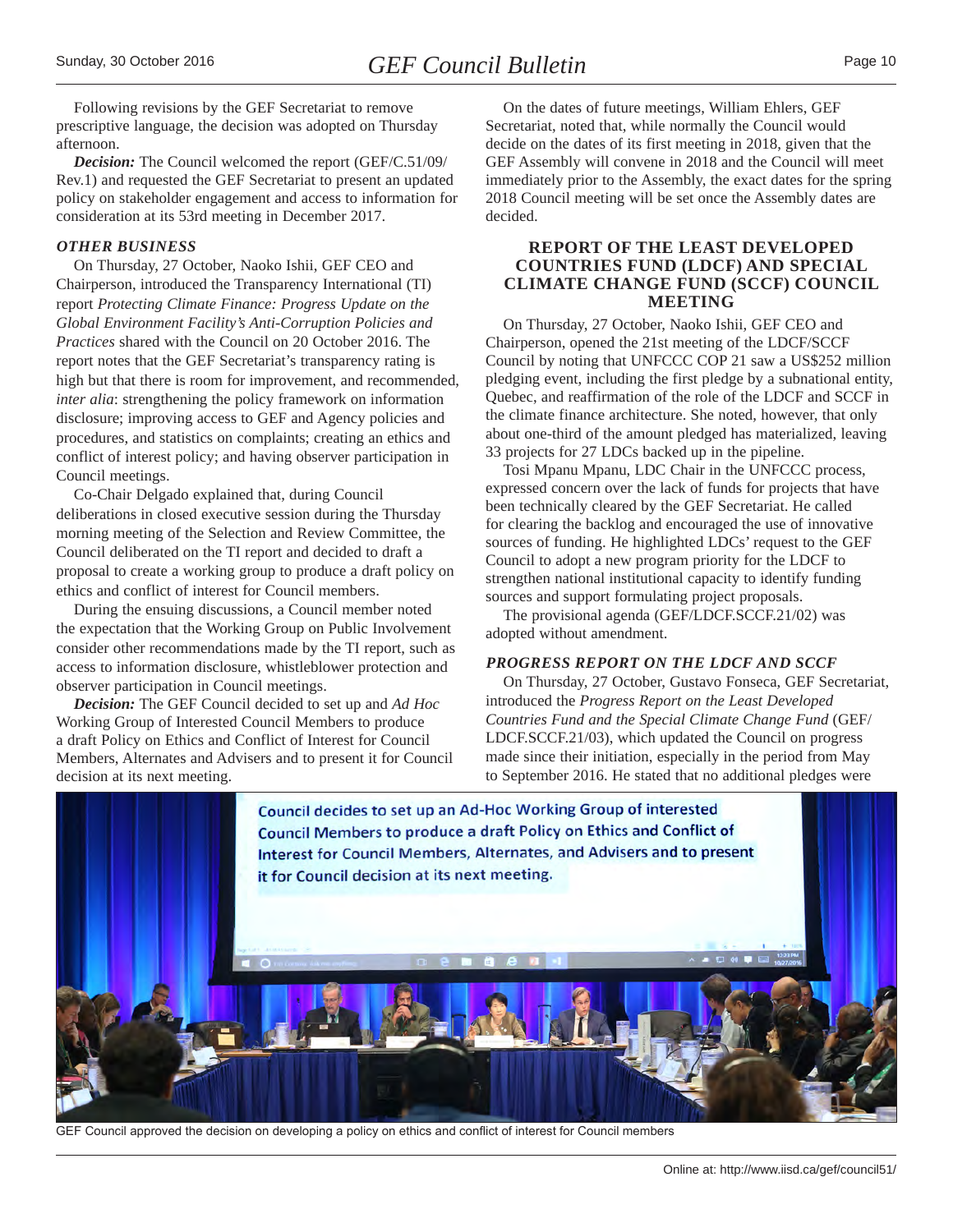<span id="page-9-0"></span>Following revisions by the GEF Secretariat to remove prescriptive language, the decision was adopted on Thursday

afternoon. *Decision:* The Council welcomed the report (GEF/C.51/09/ Rev.1) and requested the GEF Secretariat to present an updated policy on stakeholder engagement and access to information for consideration at its 53rd meeting in December 2017.

#### *OTHER BUSINESS*

On Thursday, 27 October, Naoko Ishii, GEF CEO and Chairperson, introduced the Transparency International (TI) report *Protecting Climate Finance: Progress Update on the Global Environment Facility's Anti-Corruption Policies and Practices* shared with the Council on 20 October 2016. The report notes that the GEF Secretariat's transparency rating is high but that there is room for improvement, and recommended, *inter alia*: strengthening the policy framework on information disclosure; improving access to GEF and Agency policies and procedures, and statistics on complaints; creating an ethics and conflict of interest policy; and having observer participation in Council meetings.

Co-Chair Delgado explained that, during Council deliberations in closed executive session during the Thursday morning meeting of the Selection and Review Committee, the Council deliberated on the TI report and decided to draft a proposal to create a working group to produce a draft policy on ethics and conflict of interest for Council members.

During the ensuing discussions, a Council member noted the expectation that the Working Group on Public Involvement consider other recommendations made by the TI report, such as access to information disclosure, whistleblower protection and observer participation in Council meetings.

*Decision:* The GEF Council decided to set up and *Ad Hoc* Working Group of Interested Council Members to produce a draft Policy on Ethics and Conflict of Interest for Council Members, Alternates and Advisers and to present it for Council decision at its next meeting.

On the dates of future meetings, William Ehlers, GEF Secretariat, noted that, while normally the Council would decide on the dates of its first meeting in 2018, given that the GEF Assembly will convene in 2018 and the Council will meet immediately prior to the Assembly, the exact dates for the spring 2018 Council meeting will be set once the Assembly dates are decided.

#### **REPORT OF THE LEAST DEVELOPED COUNTRIES FUND (LDCF) AND SPECIAL CLIMATE CHANGE FUND (SCCF) COUNCIL MEETING**

On Thursday, 27 October, Naoko Ishii, GEF CEO and Chairperson, opened the 21st meeting of the LDCF/SCCF Council by noting that UNFCCC COP 21 saw a US\$252 million pledging event, including the first pledge by a subnational entity, Quebec, and reaffirmation of the role of the LDCF and SCCF in the climate finance architecture. She noted, however, that only about one-third of the amount pledged has materialized, leaving 33 projects for 27 LDCs backed up in the pipeline.

Tosi Mpanu Mpanu, LDC Chair in the UNFCCC process, expressed concern over the lack of funds for projects that have been technically cleared by the GEF Secretariat. He called for clearing the backlog and encouraged the use of innovative sources of funding. He highlighted LDCs' request to the GEF Council to adopt a new program priority for the LDCF to strengthen national institutional capacity to identify funding sources and support formulating project proposals.

The provisional agenda (GEF/LDCF.SCCF.21/02) was adopted without amendment.

# *PROGRESS REPORT ON THE LDCF AND SCCF*

On Thursday, 27 October, Gustavo Fonseca, GEF Secretariat, introduced the *Progress Report on the Least Developed Countries Fund and the Special Climate Change Fund* (GEF/ LDCF.SCCF.21/03), which updated the Council on progress made since their initiation, especially in the period from May to September 2016. He stated that no additional pledges were



GEF Council approved the decision on developing a policy on ethics and conflict of interest for Council members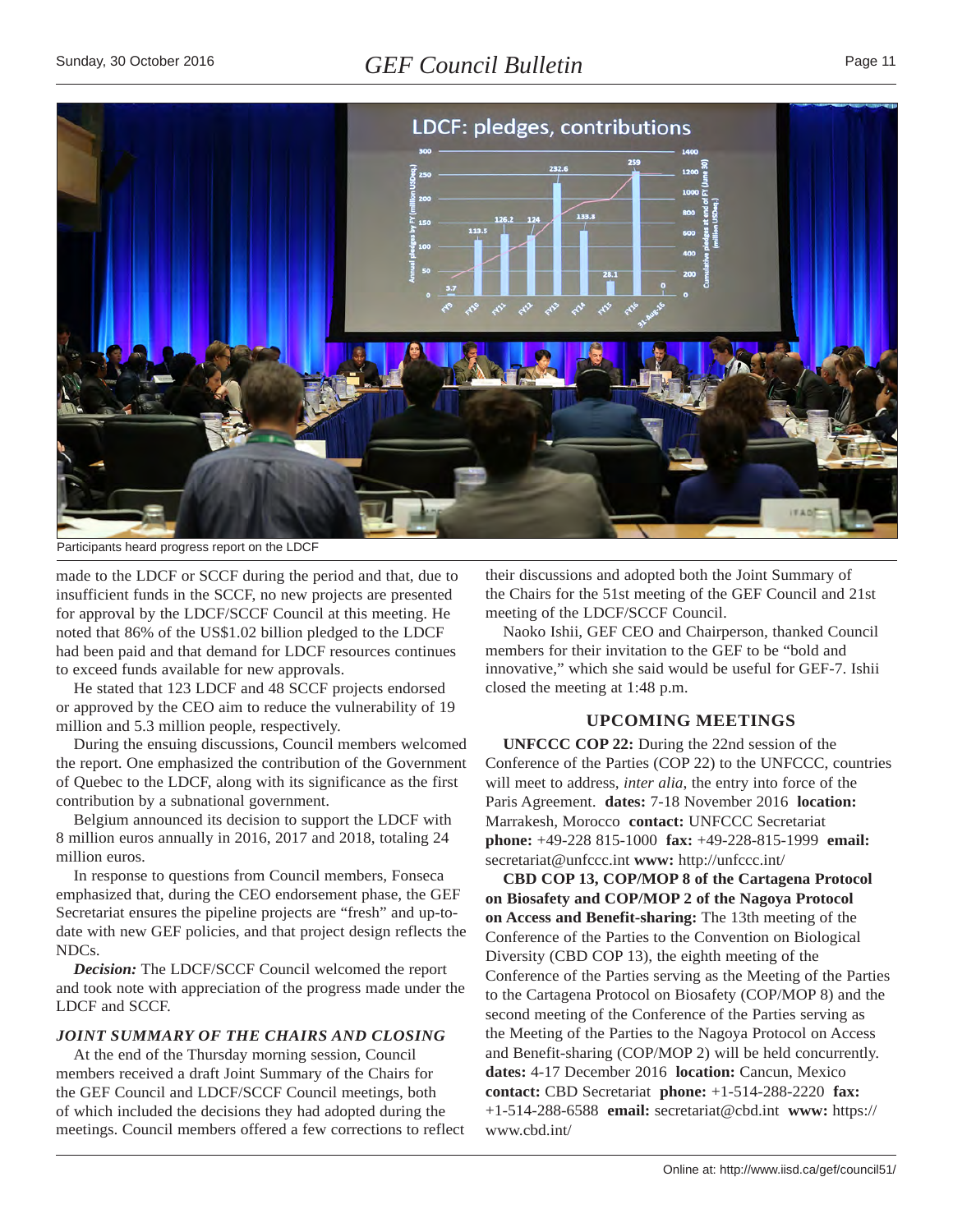<span id="page-10-0"></span>

Participants heard progress report on the LDCF

made to the LDCF or SCCF during the period and that, due to insufficient funds in the SCCF, no new projects are presented for approval by the LDCF/SCCF Council at this meeting. He noted that 86% of the US\$1.02 billion pledged to the LDCF had been paid and that demand for LDCF resources continues to exceed funds available for new approvals.

He stated that 123 LDCF and 48 SCCF projects endorsed or approved by the CEO aim to reduce the vulnerability of 19 million and 5.3 million people, respectively.

During the ensuing discussions, Council members welcomed the report. One emphasized the contribution of the Government of Quebec to the LDCF, along with its significance as the first contribution by a subnational government.

Belgium announced its decision to support the LDCF with 8 million euros annually in 2016, 2017 and 2018, totaling 24 million euros.

In response to questions from Council members, Fonseca emphasized that, during the CEO endorsement phase, the GEF Secretariat ensures the pipeline projects are "fresh" and up-todate with new GEF policies, and that project design reflects the NDCs.

*Decision:* The LDCF/SCCF Council welcomed the report and took note with appreciation of the progress made under the LDCF and SCCF.

#### *JOINT SUMMARY OF THE CHAIRS AND CLOSING*

At the end of the Thursday morning session, Council members received a draft Joint Summary of the Chairs for the GEF Council and LDCF/SCCF Council meetings, both of which included the decisions they had adopted during the meetings. Council members offered a few corrections to reflect their discussions and adopted both the Joint Summary of the Chairs for the 51st meeting of the GEF Council and 21st meeting of the LDCF/SCCF Council.

Naoko Ishii, GEF CEO and Chairperson, thanked Council members for their invitation to the GEF to be "bold and innovative," which she said would be useful for GEF-7. Ishii closed the meeting at 1:48 p.m.

# **UPCOMING MEETINGS**

**UNFCCC COP 22:** During the 22nd session of the Conference of the Parties (COP 22) to the UNFCCC, countries will meet to address, *inter alia*, the entry into force of the Paris Agreement. **dates:** 7-18 November 2016 **location:**  Marrakesh, Morocco **contact:** UNFCCC Secretariat **phone:** +49-228 815-1000 **fax:** +49-228-815-1999 **email:**  secretariat@unfccc.int **www:** http://unfccc.int/

**CBD COP 13, COP/MOP 8 of the Cartagena Protocol on Biosafety and COP/MOP 2 of the Nagoya Protocol on Access and Benefit-sharing:** The 13th meeting of the Conference of the Parties to the Convention on Biological Diversity (CBD COP 13), the eighth meeting of the Conference of the Parties serving as the Meeting of the Parties to the Cartagena Protocol on Biosafety (COP/MOP 8) and the second meeting of the Conference of the Parties serving as the Meeting of the Parties to the Nagoya Protocol on Access and Benefit-sharing (COP/MOP 2) will be held concurrently. **dates:** 4-17 December 2016 **location:** Cancun, Mexico **contact:** CBD Secretariat **phone:** +1-514-288-2220 **fax:** +1-514-288-6588 **email:** secretariat@cbd.int **www:** https:// www.cbd.int/